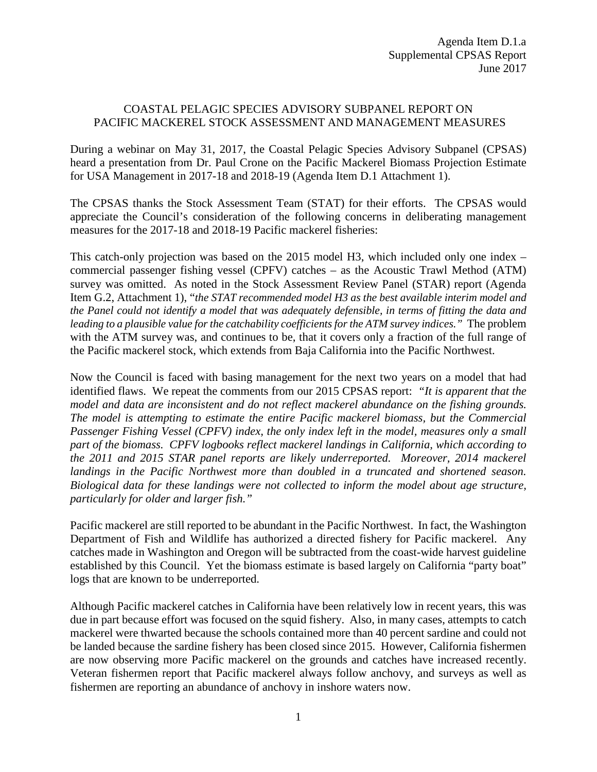## COASTAL PELAGIC SPECIES ADVISORY SUBPANEL REPORT ON PACIFIC MACKEREL STOCK ASSESSMENT AND MANAGEMENT MEASURES

During a webinar on May 31, 2017, the Coastal Pelagic Species Advisory Subpanel (CPSAS) heard a presentation from Dr. Paul Crone on the Pacific Mackerel Biomass Projection Estimate for USA Management in 2017-18 and 2018-19 (Agenda Item D.1 Attachment 1).

The CPSAS thanks the Stock Assessment Team (STAT) for their efforts. The CPSAS would appreciate the Council's consideration of the following concerns in deliberating management measures for the 2017-18 and 2018-19 Pacific mackerel fisheries:

This catch-only projection was based on the 2015 model H3, which included only one index – commercial passenger fishing vessel (CPFV) catches – as the Acoustic Trawl Method (ATM) survey was omitted. As noted in the Stock Assessment Review Panel (STAR) report (Agenda Item G.2, Attachment 1), "*the STAT recommended model H3 as the best available interim model and the Panel could not identify a model that was adequately defensible, in terms of fitting the data and leading to a plausible value for the catchability coefficients for the ATM survey indices."* The problem with the ATM survey was, and continues to be, that it covers only a fraction of the full range of the Pacific mackerel stock, which extends from Baja California into the Pacific Northwest.

Now the Council is faced with basing management for the next two years on a model that had identified flaws. We repeat the comments from our 2015 CPSAS report: *"It is apparent that the model and data are inconsistent and do not reflect mackerel abundance on the fishing grounds. The model is attempting to estimate the entire Pacific mackerel biomass, but the Commercial Passenger Fishing Vessel (CPFV) index, the only index left in the model, measures only a small part of the biomass. CPFV logbooks reflect mackerel landings in California, which according to the 2011 and 2015 STAR panel reports are likely underreported. Moreover, 2014 mackerel landings in the Pacific Northwest more than doubled in a truncated and shortened season. Biological data for these landings were not collected to inform the model about age structure, particularly for older and larger fish."*

Pacific mackerel are still reported to be abundant in the Pacific Northwest. In fact, the Washington Department of Fish and Wildlife has authorized a directed fishery for Pacific mackerel. Any catches made in Washington and Oregon will be subtracted from the coast-wide harvest guideline established by this Council. Yet the biomass estimate is based largely on California "party boat" logs that are known to be underreported.

Although Pacific mackerel catches in California have been relatively low in recent years, this was due in part because effort was focused on the squid fishery. Also, in many cases, attempts to catch mackerel were thwarted because the schools contained more than 40 percent sardine and could not be landed because the sardine fishery has been closed since 2015. However, California fishermen are now observing more Pacific mackerel on the grounds and catches have increased recently. Veteran fishermen report that Pacific mackerel always follow anchovy, and surveys as well as fishermen are reporting an abundance of anchovy in inshore waters now.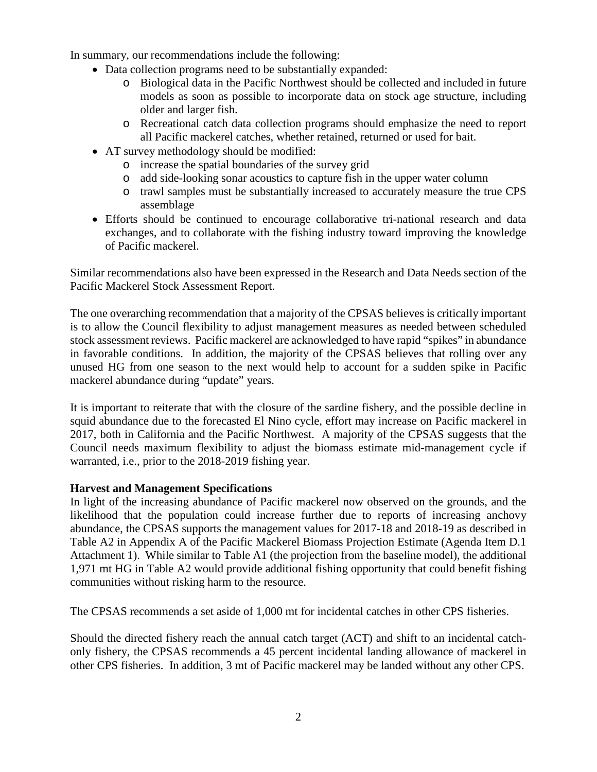In summary, our recommendations include the following:

- Data collection programs need to be substantially expanded:
	- o Biological data in the Pacific Northwest should be collected and included in future models as soon as possible to incorporate data on stock age structure, including older and larger fish.
	- o Recreational catch data collection programs should emphasize the need to report all Pacific mackerel catches, whether retained, returned or used for bait.
- AT survey methodology should be modified:
	- o increase the spatial boundaries of the survey grid
	- o add side-looking sonar acoustics to capture fish in the upper water column
	- o trawl samples must be substantially increased to accurately measure the true CPS assemblage
- Efforts should be continued to encourage collaborative tri-national research and data exchanges, and to collaborate with the fishing industry toward improving the knowledge of Pacific mackerel.

Similar recommendations also have been expressed in the Research and Data Needs section of the Pacific Mackerel Stock Assessment Report.

The one overarching recommendation that a majority of the CPSAS believes is critically important is to allow the Council flexibility to adjust management measures as needed between scheduled stock assessment reviews. Pacific mackerel are acknowledged to have rapid "spikes" in abundance in favorable conditions. In addition, the majority of the CPSAS believes that rolling over any unused HG from one season to the next would help to account for a sudden spike in Pacific mackerel abundance during "update" years.

It is important to reiterate that with the closure of the sardine fishery, and the possible decline in squid abundance due to the forecasted El Nino cycle, effort may increase on Pacific mackerel in 2017, both in California and the Pacific Northwest. A majority of the CPSAS suggests that the Council needs maximum flexibility to adjust the biomass estimate mid-management cycle if warranted, i.e., prior to the 2018-2019 fishing year.

# **Harvest and Management Specifications**

In light of the increasing abundance of Pacific mackerel now observed on the grounds, and the likelihood that the population could increase further due to reports of increasing anchovy abundance, the CPSAS supports the management values for 2017-18 and 2018-19 as described in Table A2 in Appendix A of the Pacific Mackerel Biomass Projection Estimate (Agenda Item D.1 Attachment 1). While similar to Table A1 (the projection from the baseline model), the additional 1,971 mt HG in Table A2 would provide additional fishing opportunity that could benefit fishing communities without risking harm to the resource.

The CPSAS recommends a set aside of 1,000 mt for incidental catches in other CPS fisheries.

Should the directed fishery reach the annual catch target (ACT) and shift to an incidental catchonly fishery, the CPSAS recommends a 45 percent incidental landing allowance of mackerel in other CPS fisheries. In addition, 3 mt of Pacific mackerel may be landed without any other CPS.